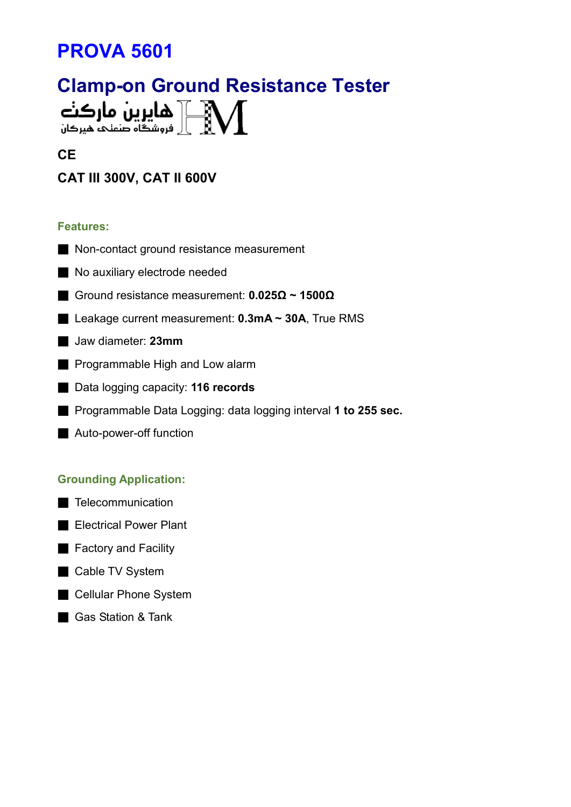# PROVA 5601

# Clamp-on Ground Resistance Tester هایرین مارکنه  $\mathbb{M}$

#### **CE**

# CAT III 300V, CAT II 600V

#### Features:

- Non-contact ground resistance measurement
- No auxiliary electrode needed
- Ground resistance measurement: 0.025Ω ~ 1500Ω
- Leakage current measurement: 0.3mA ~ 30A, True RMS
- Jaw diameter: 23mm
- Programmable High and Low alarm
- Data logging capacity: 116 records
- Programmable Data Logging: data logging interval 1 to 255 sec.
- Auto-power-off function

#### Grounding Application:

- Telecommunication
- Electrical Power Plant
- Factory and Facility
- Cable TV System
- Cellular Phone System
- Gas Station & Tank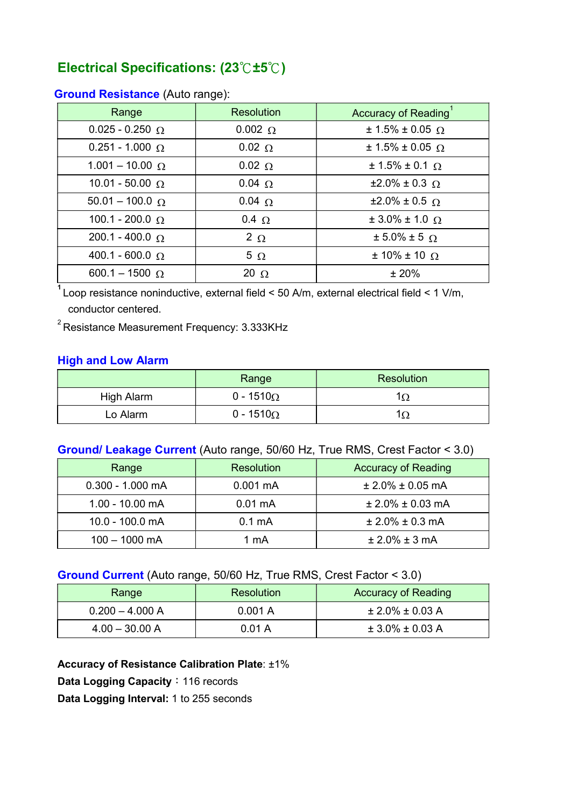# Electrical Specifications: (23℃±5℃)

| Range                    | <b>Resolution</b> | <b>Accuracy of Reading</b>  |
|--------------------------|-------------------|-----------------------------|
| $0.025 - 0.250$ $\Omega$ | $0.002 \Omega$    | $± 1.5\% ± 0.05$ Ω          |
| $0.251 - 1.000$ $\Omega$ | $0.02 \Omega$     | $± 1.5\% ± 0.05$ Ω          |
| $1.001 - 10.00 \Omega$   | $0.02 \Omega$     | $± 1.5\% ± 0.1$ Ω           |
| $10.01 - 50.00$ $\Omega$ | $0.04 \Omega$     | $±2.0\% ± 0.3$ Ω            |
| $50.01 - 100.0 \Omega$   | $0.04 \Omega$     | $\pm 2.0\% \pm 0.5$ Ω       |
| 100.1 - 200.0 $\Omega$   | $0.4 \Omega$      | $\pm 3.0\% \pm 1.0 \Omega$  |
| $200.1 - 400.0$ $\Omega$ | $2 \Omega$        | $\pm$ 5.0% $\pm$ 5 $\Omega$ |
| 400.1 - 600.0 $\Omega$   | $5\Omega$         | $± 10\% ± 10 \Omega$        |
| 600.1 - 1500 $\Omega$    | 20 $\Omega$       | ± 20%                       |

#### Ground Resistance (Auto range):

 $1$  Loop resistance noninductive, external field < 50 A/m, external electrical field < 1 V/m, conductor centered.

 $2^{2}$ Resistance Measurement Frequency: 3.333KHz

#### High and Low Alarm

|            | Range             | <b>Resolution</b> |
|------------|-------------------|-------------------|
| High Alarm | 0 - 1510 $\Omega$ | 152               |
| Lo Alarm   | 0 - 1510 $\Omega$ |                   |

## Ground/ Leakage Current (Auto range, 50/60 Hz, True RMS, Crest Factor < 3.0)

| Range              | <b>Resolution</b>  | <b>Accuracy of Reading</b> |
|--------------------|--------------------|----------------------------|
| $0.300 - 1.000$ mA | $0.001 \text{ mA}$ | $± 2.0\% ± 0.05$ mA        |
| $1.00 - 10.00$ mA  | $0.01 \text{ mA}$  | $± 2.0\% ± 0.03$ mA        |
| 10.0 - 100.0 mA    | $0.1 \text{ mA}$   | $± 2.0\% ± 0.3$ mA         |
| $100 - 1000$ mA    | 1 mA               | $± 2.0\% ± 3 mA$           |

#### Ground Current (Auto range, 50/60 Hz, True RMS, Crest Factor < 3.0)

| Range             | <b>Resolution</b> | <b>Accuracy of Reading</b> |
|-------------------|-------------------|----------------------------|
| $0.200 - 4.000 A$ | 0.001 A           | $± 2.0\% ± 0.03 A$         |
| $4.00 - 30.00 A$  | 0.01 A            | $\pm$ 3.0% $\pm$ 0.03 A    |

Accuracy of Resistance Calibration Plate: ±1% Data Logging Capacity: 116 records Data Logging Interval: 1 to 255 seconds